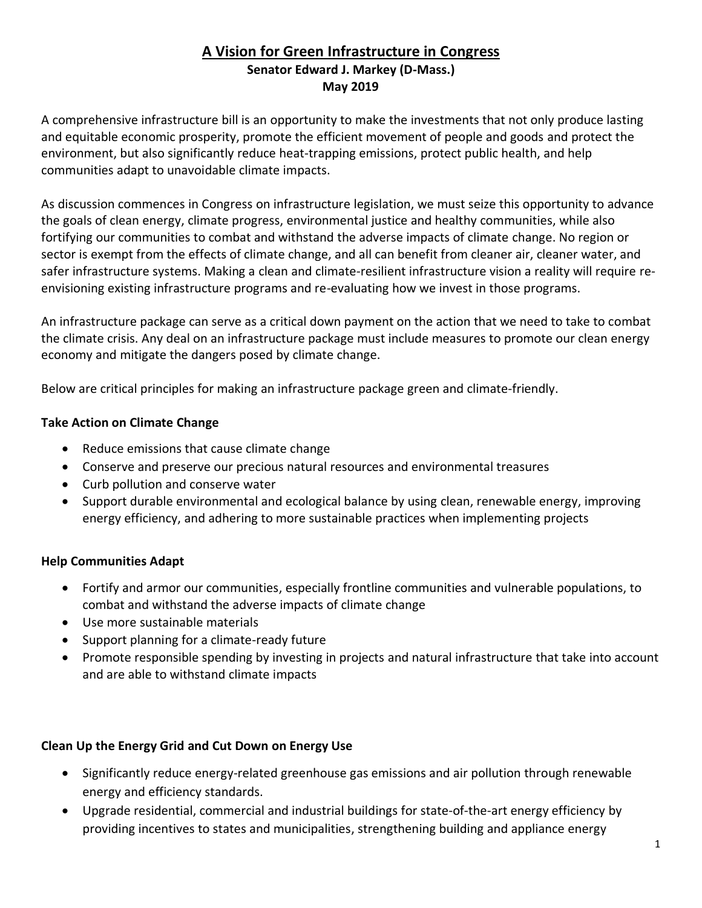# **A Vision for Green Infrastructure in Congress Senator Edward J. Markey (D-Mass.) May 2019**

A comprehensive infrastructure bill is an opportunity to make the investments that not only produce lasting and equitable economic prosperity, promote the efficient movement of people and goods and protect the environment, but also significantly reduce heat-trapping emissions, protect public health, and help communities adapt to unavoidable climate impacts.

As discussion commences in Congress on infrastructure legislation, we must seize this opportunity to advance the goals of clean energy, climate progress, environmental justice and healthy communities, while also fortifying our communities to combat and withstand the adverse impacts of climate change. No region or sector is exempt from the effects of climate change, and all can benefit from cleaner air, cleaner water, and safer infrastructure systems. Making a clean and climate-resilient infrastructure vision a reality will require reenvisioning existing infrastructure programs and re-evaluating how we invest in those programs.

An infrastructure package can serve as a critical down payment on the action that we need to take to combat the climate crisis. Any deal on an infrastructure package must include measures to promote our clean energy economy and mitigate the dangers posed by climate change.

Below are critical principles for making an infrastructure package green and climate-friendly.

#### **Take Action on Climate Change**

- Reduce emissions that cause climate change
- Conserve and preserve our precious natural resources and environmental treasures
- Curb pollution and conserve water
- Support durable environmental and ecological balance by using clean, renewable energy, improving energy efficiency, and adhering to more sustainable practices when implementing projects

### **Help Communities Adapt**

- Fortify and armor our communities, especially frontline communities and vulnerable populations, to combat and withstand the adverse impacts of climate change
- Use more sustainable materials
- Support planning for a climate-ready future
- Promote responsible spending by investing in projects and natural infrastructure that take into account and are able to withstand climate impacts

#### **Clean Up the Energy Grid and Cut Down on Energy Use**

- Significantly reduce energy-related greenhouse gas emissions and air pollution through renewable energy and efficiency standards.
- Upgrade residential, commercial and industrial buildings for state-of-the-art energy efficiency by providing incentives to states and municipalities, strengthening building and appliance energy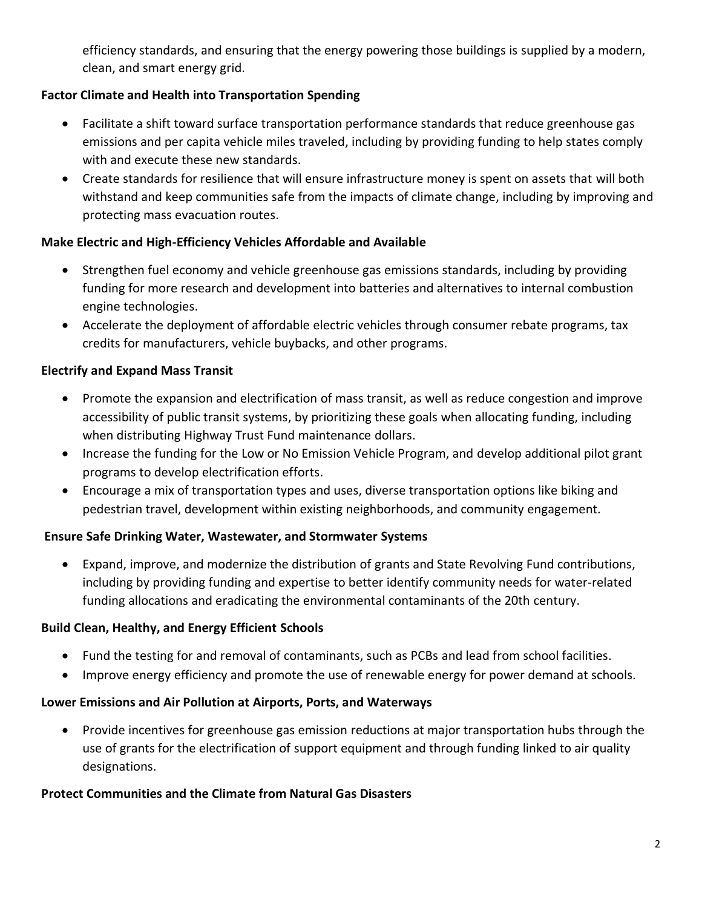efficiency standards, and ensuring that the energy powering those buildings is supplied by a modern, clean, and smart energy grid.

# **Factor Climate and Health into Transportation Spending**

- Facilitate a shift toward surface transportation performance standards that reduce greenhouse gas emissions and per capita vehicle miles traveled, including by providing funding to help states comply with and execute these new standards.
- Create standards for resilience that will ensure infrastructure money is spent on assets that will both withstand and keep communities safe from the impacts of climate change, including by improving and protecting mass evacuation routes.

### **Make Electric and High-Efficiency Vehicles Affordable and Available**

- Strengthen fuel economy and vehicle greenhouse gas emissions standards, including by providing funding for more research and development into batteries and alternatives to internal combustion engine technologies.
- Accelerate the deployment of affordable electric vehicles through consumer rebate programs, tax credits for manufacturers, vehicle buybacks, and other programs.

### **Electrify and Expand Mass Transit**

- Promote the expansion and electrification of mass transit, as well as reduce congestion and improve accessibility of public transit systems, by prioritizing these goals when allocating funding, including when distributing Highway Trust Fund maintenance dollars.
- Increase the funding for the Low or No Emission Vehicle Program, and develop additional pilot grant programs to develop electrification efforts.
- Encourage a mix of transportation types and uses, diverse transportation options like biking and pedestrian travel, development within existing neighborhoods, and community engagement.

### **Ensure Safe Drinking Water, Wastewater, and Stormwater Systems**

• Expand, improve, and modernize the distribution of grants and State Revolving Fund contributions, including by providing funding and expertise to better identify community needs for water-related funding allocations and eradicating the environmental contaminants of the 20th century.

#### **Build Clean, Healthy, and Energy Efficient Schools**

- Fund the testing for and removal of contaminants, such as PCBs and lead from school facilities.
- Improve energy efficiency and promote the use of renewable energy for power demand at schools.

### **Lower Emissions and Air Pollution at Airports, Ports, and Waterways**

• Provide incentives for greenhouse gas emission reductions at major transportation hubs through the use of grants for the electrification of support equipment and through funding linked to air quality designations.

#### **Protect Communities and the Climate from Natural Gas Disasters**